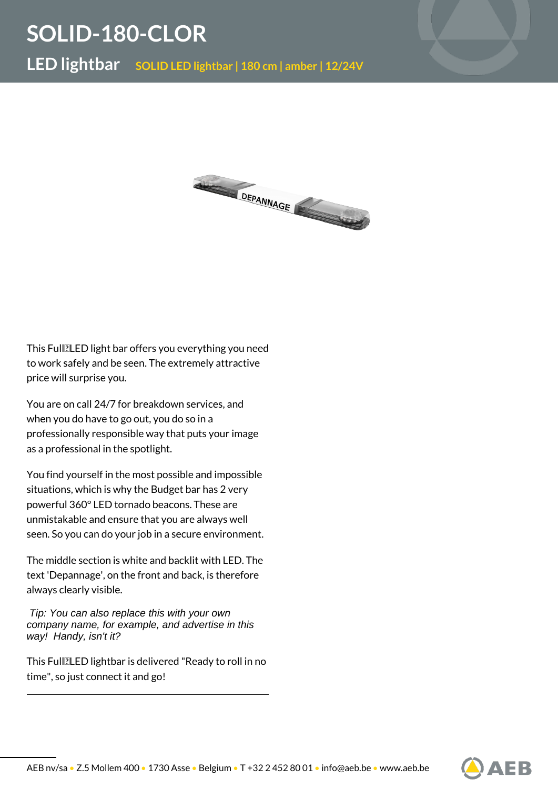## **SOLID-180-CLOR**

**LED lightbar SOLID LED lightbar | 180 cm | amber | 12/24V**



This Full **LED** light bar offers you everything you need to work safely and be seen. The extremely attractive price will surprise you.

You are on call 24/7 for breakdown services, and when you do have to go out, you do so in a professionally responsible way that puts your image as a professional in the spotlight.

You find yourself in the most possible and impossible situations, which is why the Budget bar has 2 very powerful 360° LED tornado beacons. These are unmistakable and ensure that you are always well seen. So you can do your job in a secure environment.

The middle section is white and backlit with LED. The text 'Depannage', on the front and back, is therefore always clearly visible.

 Tip: You can also replace this with your own company name, for example, and advertise in this way! Handy, isn't it?

This Full<br>
ILED lightbar is delivered "Ready to roll in no time", so just connect it and go!